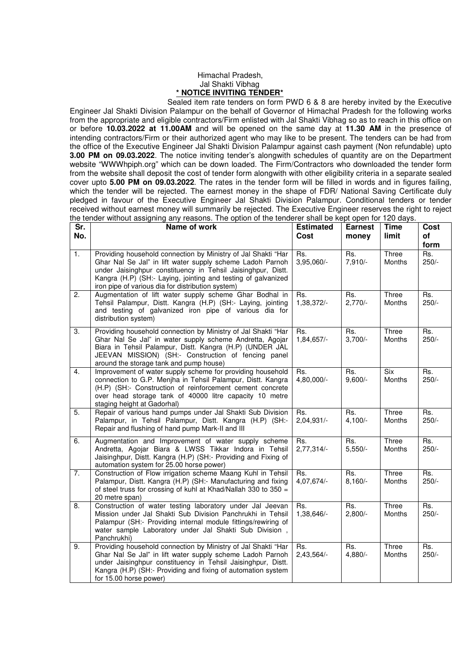## Himachal Pradesh, Jal Shakti Vibhag **\* NOTICE INVITING TENDER\***

 Sealed item rate tenders on form PWD 6 & 8 are hereby invited by the Executive Engineer Jal Shakti Division Palampur on the behalf of Governor of Himachal Pradesh for the following works from the appropriate and eligible contractors/Firm enlisted with Jal Shakti Vibhag so as to reach in this office on or before **10.03.2022 at 11.00AM** and will be opened on the same day at **11.30 AM** in the presence of intending contractors/Firm or their authorized agent who may like to be present. The tenders can be had from the office of the Executive Engineer Jal Shakti Division Palampur against cash payment (Non refundable) upto **3.00 PM on 09.03.2022**. The notice inviting tender's alongwith schedules of quantity are on the Department website "WWWhpiph.org" which can be down loaded. The Firm/Contractors who downloaded the tender form from the website shall deposit the cost of tender form alongwith with other eligibility criteria in a separate sealed cover upto **5.00 PM on 09.03.2022**. The rates in the tender form will be filled in words and in figures failing, which the tender will be rejected. The earnest money in the shape of FDR/ National Saving Certificate duly pledged in favour of the Executive Engineer Jal Shakti Division Palampur. Conditional tenders or tender received without earnest money will summarily be rejected. The Executive Engineer reserves the right to reject the tender without assigning any reasons. The option of the tenderer shall be kept open for 120 days.

| Sr.<br>No.       | Name of work                                                                                                                                                                                                                                                                                                     | <b>Estimated</b><br>Cost | <b>Earnest</b><br>money | <b>Time</b><br>limit | Cost<br>of     |
|------------------|------------------------------------------------------------------------------------------------------------------------------------------------------------------------------------------------------------------------------------------------------------------------------------------------------------------|--------------------------|-------------------------|----------------------|----------------|
|                  |                                                                                                                                                                                                                                                                                                                  |                          |                         |                      | form           |
| $\overline{1}$ . | Providing household connection by Ministry of Jal Shakti "Har<br>Ghar Nal Se Jal" in lift water supply scheme Ladoh Parnoh<br>under Jaisinghpur constituency in Tehsil Jaisinghpur, Distt.<br>Kangra (H.P) (SH:- Laying, jointing and testing of galvanized<br>iron pipe of various dia for distribution system) | Rs.<br>3,95,060/-        | Rs.<br>7,910/-          | Three<br>Months      | Rs.<br>$250/-$ |
| 2.               | Augmentation of lift water supply scheme Ghar Bodhal in<br>Tehsil Palampur, Distt. Kangra (H.P) (SH:- Laying, jointing<br>and testing of galvanized iron pipe of various dia for<br>distribution system)                                                                                                         | Rs.<br>1,38,372/-        | Rs.<br>$2,770/-$        | Three<br>Months      | Rs.<br>$250/-$ |
| 3.               | Providing household connection by Ministry of Jal Shakti "Har<br>Ghar Nal Se Jal" in water supply scheme Andretta, Agojar<br>Biara in Tehsil Palampur, Distt. Kangra (H.P) (UNDER JAL<br>JEEVAN MISSION) (SH:- Construction of fencing panel<br>around the storage tank and pump house)                          | Rs.<br>1,84,657/-        | Rs.<br>$3,700/-$        | Three<br>Months      | Rs.<br>$250/-$ |
| $\overline{4}$ . | Improvement of water supply scheme for providing household<br>connection to G.P. Menjha in Tehsil Palampur, Distt. Kangra<br>(H.P) (SH:- Construction of reinforcement cement concrete<br>over head storage tank of 40000 litre capacity 10 metre<br>staging height at Gadorhal)                                 | Rs.<br>4,80,000/-        | Rs.<br>$9,600/-$        | <b>Six</b><br>Months | Rs.<br>$250/-$ |
| 5.               | Repair of various hand pumps under Jal Shakti Sub Division<br>Palampur, in Tehsil Palampur, Distt. Kangra (H.P) (SH:-<br>Repair and flushing of hand pump Mark-II and III                                                                                                                                        | Rs.<br>2,04,931/-        | Rs.<br>$4,100/-$        | Three<br>Months      | Rs.<br>$250/-$ |
| 6.               | Augmentation and Improvement of water supply scheme<br>Andretta, Agojar Biara & LWSS Tikkar Indora in Tehsil<br>Jaisinghpur, Distt. Kangra (H.P) (SH:- Providing and Fixing of<br>automation system for 25.00 horse power)                                                                                       | Rs.<br>$2,77,314/-$      | Rs.<br>$5,550/-$        | Three<br>Months      | Rs.<br>$250/-$ |
| $\overline{7}$ . | Construction of Flow irrigation scheme Maang Kuhl in Tehsil<br>Palampur, Distt. Kangra (H.P) (SH:- Manufacturing and fixing<br>of steel truss for crossing of kuhl at Khad/Nallah 330 to 350 =<br>20 metre span)                                                                                                 | Rs.<br>4,07,674/-        | Rs.<br>$8,160/-$        | Three<br>Months      | Rs.<br>$250/-$ |
| 8.               | Construction of water testing laboratory under Jal Jeevan<br>Mission under Jal Shakti Sub Division Panchrukhi in Tehsil<br>Palampur (SH:- Providing internal module fittings/rewiring of<br>water sample Laboratory under Jal Shakti Sub Division,<br>Panchrukhi)                                                | Rs.<br>1,38,646/-        | Rs.<br>$2,800/-$        | Three<br>Months      | Rs.<br>$250/-$ |
| 9.               | Providing household connection by Ministry of Jal Shakti "Har<br>Ghar Nal Se Jal" in lift water supply scheme Ladoh Parnoh<br>under Jaisinghpur constituency in Tehsil Jaisinghpur, Distt.<br>Kangra (H.P) (SH:- Providing and fixing of automation system<br>for 15.00 horse power)                             | Rs.<br>2,43,564/-        | Rs.<br>4,880/-          | Three<br>Months      | Rs.<br>$250/-$ |